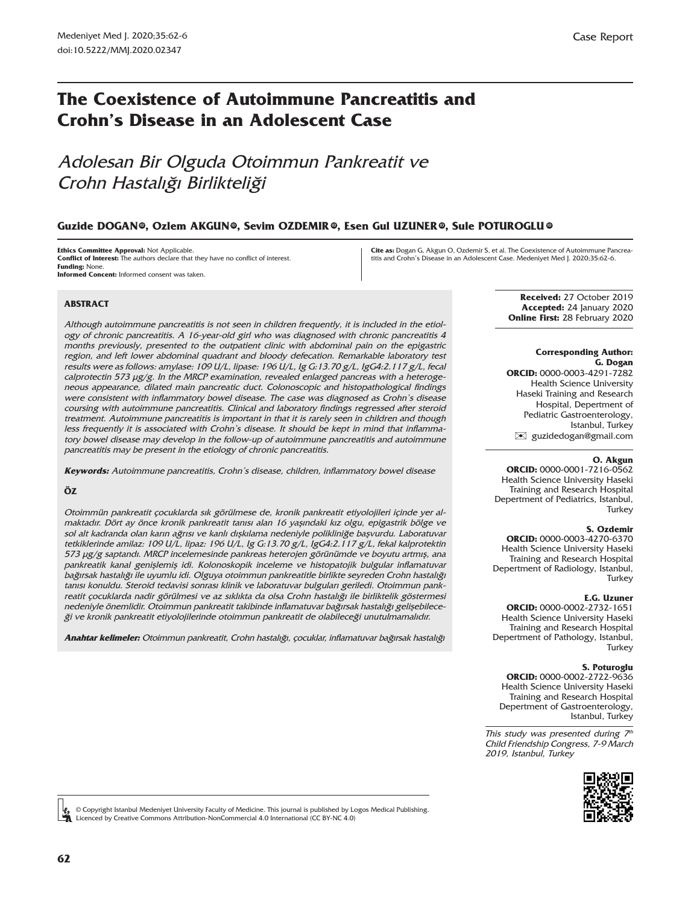# **The Coexistence of Autoimmune Pancreatitis and Crohn's Disease in an Adolescent Case**

# Adolesan Bir Olguda Otoimmun Pankreatit ve Crohn Hastalığı Birlikteliği

### $\boldsymbol{\delta}$  **Guzide DOGAN®, Ozlem AKGUN®, Sevim OZDEMIR®, Esen Gul UZUNER®, Sule POTUROGLU**

**Ethics Committee Approval:** Not Applicable. **Conflict of Interest:** The authors declare that they have no conflict of interest. **Funding:** None. **Informed Concent:** Informed consent was taken.

**Cite as:** Dogan G, Akgun O, Ozdemir S, et al. The Coexistence of Autoimmune Pancreatitis and Crohn's Disease in an Adolescent Case. Medeniyet Med J. 2020;35:62-6.

### **ABSTRACT**

Although autoimmune pancreatitis is not seen in children frequently, it is included in the etiology of chronic pancreatitis. A 16-year-old girl who was diagnosed with chronic pancreatitis 4 months previously, presented to the outpatient clinic with abdominal pain on the epigastric region, and left lower abdominal quadrant and bloody defecation. Remarkable laboratory test results were as follows: amylase: 109 U/L, lipase: 196 U/L, Ig G:13.70 g/L, IgG4:2.117 g/L, fecal calprotectin 573 µg/g. In the MRCP examination, revealed enlarged pancreas with a heterogeneous appearance, dilated main pancreatic duct. Colonoscopic and histopathological findings were consistent with inflammatory bowel disease. The case was diagnosed as Crohn's disease coursing with autoimmune pancreatitis. Clinical and laboratory findings regressed after steroid treatment. Autoimmune pancreatitis is important in that it is rarely seen in children and though less frequently it is associated with Crohn's disease. It should be kept in mind that inflammatory bowel disease may develop in the follow-up of autoimmune pancreatitis and autoimmune pancreatitis may be present in the etiology of chronic pancreatitis.

**Keywords:** Autoimmune pancreatitis, Crohn's disease, children, inflammatory bowel disease

#### **ÖZ**

Otoimmün pankreatit çocuklarda sık görülmese de, kronik pankreatit etiyolojileri içinde yer almaktadır. Dört ay önce kronik pankreatit tanısı alan 16 yaşındaki kız olgu, epigastrik bölge ve sol alt kadranda olan karın ağrısı ve kanlı dışkılama nedeniyle polikliniğe başvurdu. Laboratuvar tetkiklerinde amilaz: 109 U/L, lipaz: 196 U/L, Ig G:13.70 g/L, IgG4:2.117 g/L, fekal kalprotektin 573 µg/g saptandı. MRCP incelemesinde pankreas heterojen görünümde ve boyutu artmış, ana pankreatik kanal genişlemiş idi. Kolonoskopik inceleme ve histopatojik bulgular inflamatuvar bağırsak hastalığı ile uyumlu idi. Olguya otoimmun pankreatitle birlikte seyreden Crohn hastalığı tanısı konuldu. Steroid tedavisi sonrası klinik ve laboratuvar bulguları geriledi. Otoimmun pankreatit çocuklarda nadir görülmesi ve az sıklıkta da olsa Crohn hastalığı ile birliktelik göstermesi nedeniyle önemlidir. Otoimmun pankreatit takibinde inflamatuvar bağırsak hastalığı gelişebileceği ve kronik pankreatit etiyolojilerinde otoimmun pankreatit de olabileceği unutulmamalıdır.

**Anahtar kelimeler:** Otoimmun pankreatit, Crohn hastalığı, çocuklar, inflamatuvar bağırsak hastalığı

**Received:** 27 October 2019 **Accepted:** 24 January 2020 **Online First:** 28 February 2020

#### **Corresponding Author: G. Dogan**

**ORCID:** 0000-0003-4291-7282 Health Science University Haseki Training and Research Hospital, Depertment of Pediatric Gastroenterology, Istanbul, Turkey [✉](mailto:guzidedogan@gmail.com) guzidedogan@gmail.com

#### **O. Akgun**

**ORCID:** 0000-0001-7216-0562 Health Science University Haseki Training and Research Hospital Depertment of Pediatrics, Istanbul, **Turkey** 

#### **S. Ozdemir**

**ORCID:** 0000-0003-4270-6370 Health Science University Haseki Training and Research Hospital Depertment of Radiology, Istanbul, **Turkey** 

#### **E.G. Uzuner**

**ORCID:** 0000-0002-2732-1651 Health Science University Haseki Training and Research Hospital Depertment of Pathology, Istanbul, **Turkey** 

#### **S. Poturoglu**

**ORCID:** 0000-0002-2722-9636 Health Science University Haseki Training and Research Hospital Depertment of Gastroenterology, Istanbul, Turkey

This study was presented during  $7<sup>th</sup>$ Child Friendship Congress, 7-9 March 2019, Istanbul, Turkey



© Copyright Istanbul Medeniyet University Faculty of Medicine. This journal is published by Logos Medical Publishing. Licenced by Creative Commons Attribution-NonCommercial 4.0 International (CC BY-NC 4.0)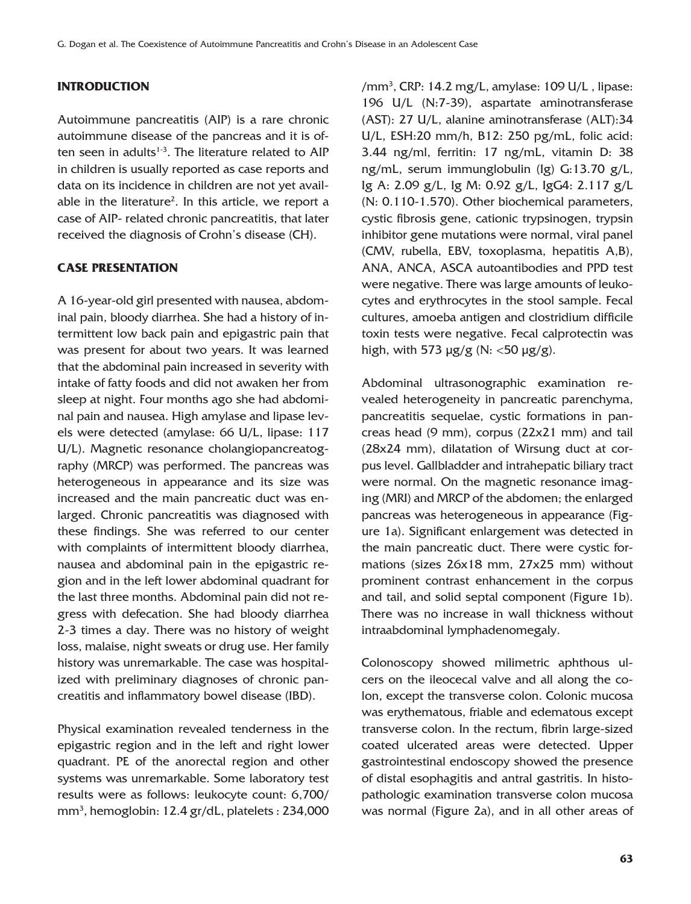## **INTRODUCTION**

Autoimmune pancreatitis (AIP) is a rare chronic autoimmune disease of the pancreas and it is often seen in adults $1-3$ . The literature related to AIP in children is usually reported as case reports and data on its incidence in children are not yet available in the literature<sup>2</sup>. In this article, we report a case of AIP- related chronic pancreatitis, that later received the diagnosis of Crohn's disease (CH).

### **CASE PRESENTATION**

A 16-year-old girl presented with nausea, abdominal pain, bloody diarrhea. She had a history of intermittent low back pain and epigastric pain that was present for about two years. It was learned that the abdominal pain increased in severity with intake of fatty foods and did not awaken her from sleep at night. Four months ago she had abdominal pain and nausea. High amylase and lipase levels were detected (amylase: 66 U/L, lipase: 117 U/L). Magnetic resonance cholangiopancreatography (MRCP) was performed. The pancreas was heterogeneous in appearance and its size was increased and the main pancreatic duct was enlarged. Chronic pancreatitis was diagnosed with these findings. She was referred to our center with complaints of intermittent bloody diarrhea, nausea and abdominal pain in the epigastric region and in the left lower abdominal quadrant for the last three months. Abdominal pain did not regress with defecation. She had bloody diarrhea 2-3 times a day. There was no history of weight loss, malaise, night sweats or drug use. Her family history was unremarkable. The case was hospitalized with preliminary diagnoses of chronic pancreatitis and inflammatory bowel disease (IBD).

Physical examination revealed tenderness in the epigastric region and in the left and right lower quadrant. PE of the anorectal region and other systems was unremarkable. Some laboratory test results were as follows: leukocyte count: 6,700/ mm3 , hemoglobin: 12.4 gr/dL, platelets : 234,000

/mm<sup>3</sup>, CRP: 14.2 mg/L, amylase: 109 U/L, lipase: 196 U/L (N:7-39), aspartate aminotransferase (AST): 27 U/L, alanine aminotransferase (ALT):34 U/L, ESH:20 mm/h, B12: 250 pg/mL, folic acid: 3.44 ng/ml, ferritin: 17 ng/mL, vitamin D: 38 ng/mL, serum immunglobulin (Ig) G:13.70 g/L, Ig A: 2.09 g/L, Ig M: 0.92 g/L, IgG4: 2.117 g/L (N: 0.110-1.570). Other biochemical parameters, cystic fibrosis gene, cationic trypsinogen, trypsin inhibitor gene mutations were normal, viral panel (CMV, rubella, EBV, toxoplasma, hepatitis A,B), ANA, ANCA, ASCA autoantibodies and PPD test were negative. There was large amounts of leukocytes and erythrocytes in the stool sample. Fecal cultures, amoeba antigen and clostridium difficile toxin tests were negative. Fecal calprotectin was high, with 573  $\mu$ g/g (N: <50  $\mu$ g/g).

Abdominal ultrasonographic examination revealed heterogeneity in pancreatic parenchyma, pancreatitis sequelae, cystic formations in pancreas head (9 mm), corpus (22x21 mm) and tail (28x24 mm), dilatation of Wirsung duct at corpus level. Gallbladder and intrahepatic biliary tract were normal. On the magnetic resonance imaging (MRI) and MRCP of the abdomen; the enlarged pancreas was heterogeneous in appearance (Figure 1a). Significant enlargement was detected in the main pancreatic duct. There were cystic formations (sizes 26x18 mm, 27x25 mm) without prominent contrast enhancement in the corpus and tail, and solid septal component (Figure 1b). There was no increase in wall thickness without intraabdominal lymphadenomegaly.

Colonoscopy showed milimetric aphthous ulcers on the ileocecal valve and all along the colon, except the transverse colon. Colonic mucosa was erythematous, friable and edematous except transverse colon. In the rectum, fibrin large-sized coated ulcerated areas were detected. Upper gastrointestinal endoscopy showed the presence of distal esophagitis and antral gastritis. In histopathologic examination transverse colon mucosa was normal (Figure 2a), and in all other areas of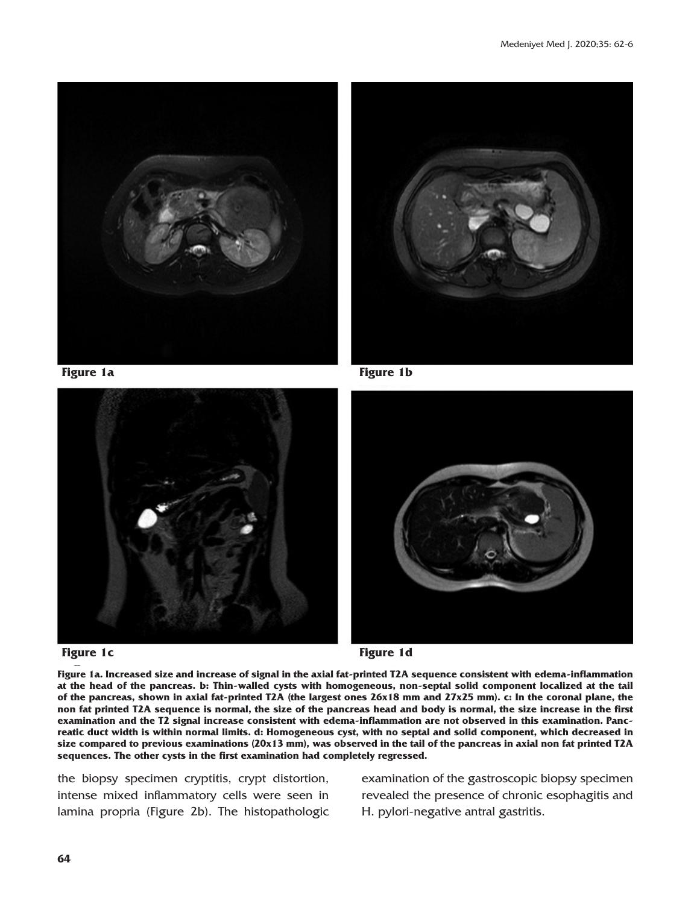







**Figure 1a. Increased size and increase of signal in the axial fat-printed T2A sequence consistent with edema-inflammation at the head of the pancreas. b: Thin-walled cysts with homogeneous, non-septal solid component localized at the tail of the pancreas, shown in axial fat-printed T2A (the largest ones 26x18 mm and 27x25 mm). c: In the coronal plane, the non fat printed T2A sequence is normal, the size of the pancreas head and body is normal, the size increase in the first examination and the T2 signal increase consistent with edema-inflammation are not observed in this examination. Pancreatic duct width is within normal limits. d: Homogeneous cyst, with no septal and solid component, which decreased in size compared to previous examinations (20x13 mm), was observed in the tail of the pancreas in axial non fat printed T2A sequences. The other cysts in the first examination had completely regressed.**

the biopsy specimen cryptitis, crypt distortion, intense mixed inflammatory cells were seen in lamina propria (Figure 2b). The histopathologic examination of the gastroscopic biopsy specimen revealed the presence of chronic esophagitis and H. pylori-negative antral gastritis.

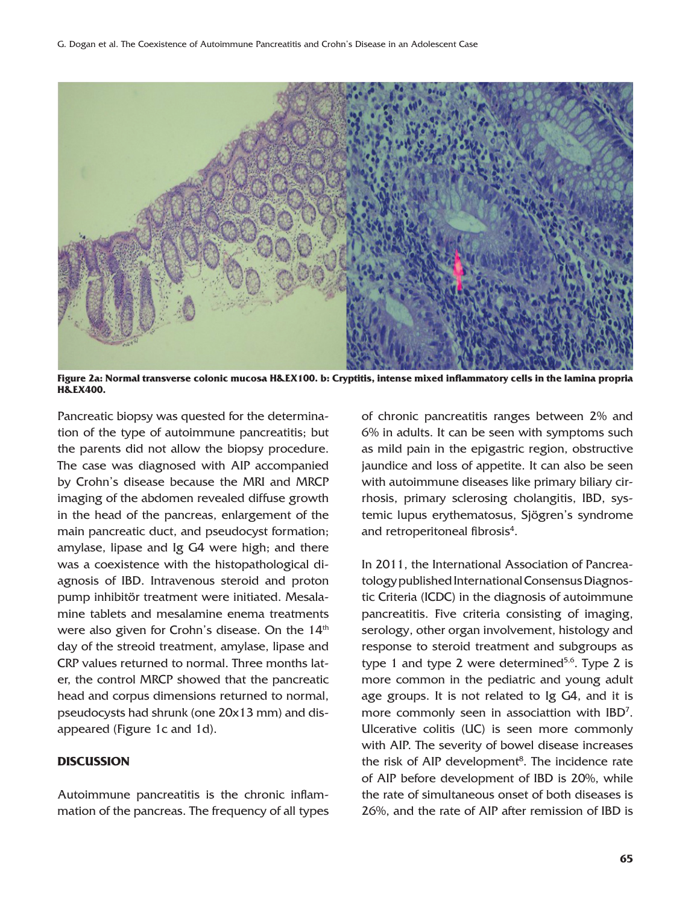

**Figure 2a: Normal transverse colonic mucosa H&EX100. b: Cryptitis, intense mixed inflammatory cells in the lamina propria H&EX400.**

Pancreatic biopsy was quested for the determination of the type of autoimmune pancreatitis; but the parents did not allow the biopsy procedure. The case was diagnosed with AIP accompanied by Crohn's disease because the MRI and MRCP imaging of the abdomen revealed diffuse growth in the head of the pancreas, enlargement of the main pancreatic duct, and pseudocyst formation; amylase, lipase and Ig G4 were high; and there was a coexistence with the histopathological diagnosis of IBD. Intravenous steroid and proton pump inhibitör treatment were initiated. Mesalamine tablets and mesalamine enema treatments were also given for Crohn's disease. On the 14<sup>th</sup> day of the streoid treatment, amylase, lipase and CRP values returned to normal. Three months later, the control MRCP showed that the pancreatic head and corpus dimensions returned to normal, pseudocysts had shrunk (one 20x13 mm) and disappeared (Figure 1c and 1d).

### **DISCUSSION**

Autoimmune pancreatitis is the chronic inflammation of the pancreas. The frequency of all types of chronic pancreatitis ranges between 2% and 6% in adults. It can be seen with symptoms such as mild pain in the epigastric region, obstructive jaundice and loss of appetite. It can also be seen with autoimmune diseases like primary biliary cirrhosis, primary sclerosing cholangitis, IBD, systemic lupus erythematosus, Sjögren's syndrome and retroperitoneal fibrosis<sup>4</sup>.

In 2011, the International Association of Pancreatology published International Consensus Diagnostic Criteria (ICDC) in the diagnosis of autoimmune pancreatitis. Five criteria consisting of imaging, serology, other organ involvement, histology and response to steroid treatment and subgroups as type 1 and type 2 were determined<sup>5,6</sup>. Type 2 is more common in the pediatric and young adult age groups. It is not related to Ig G4, and it is more commonly seen in associattion with IBD7 . Ulcerative colitis (UC) is seen more commonly with AIP. The severity of bowel disease increases the risk of AIP development<sup>8</sup>. The incidence rate of AIP before development of IBD is 20%, while the rate of simultaneous onset of both diseases is 26%, and the rate of AIP after remission of IBD is